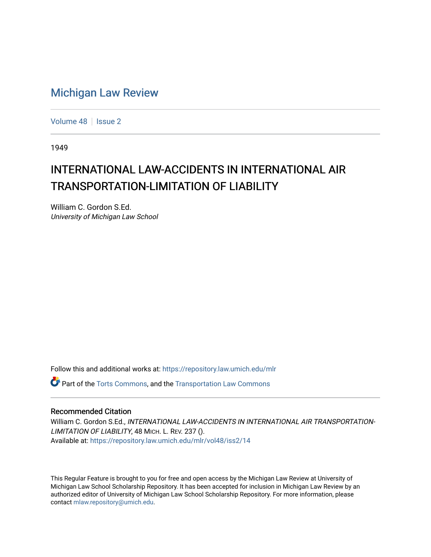## [Michigan Law Review](https://repository.law.umich.edu/mlr)

[Volume 48](https://repository.law.umich.edu/mlr/vol48) | [Issue 2](https://repository.law.umich.edu/mlr/vol48/iss2)

1949

## INTERNATIONAL LAW-ACCIDENTS IN INTERNATIONAL AIR TRANSPORTATION-LIMITATION OF LIABILITY

William C. Gordon S.Ed. University of Michigan Law School

Follow this and additional works at: [https://repository.law.umich.edu/mlr](https://repository.law.umich.edu/mlr?utm_source=repository.law.umich.edu%2Fmlr%2Fvol48%2Fiss2%2F14&utm_medium=PDF&utm_campaign=PDFCoverPages) 

 $\bullet$  Part of the [Torts Commons](http://network.bepress.com/hgg/discipline/913?utm_source=repository.law.umich.edu%2Fmlr%2Fvol48%2Fiss2%2F14&utm_medium=PDF&utm_campaign=PDFCoverPages), and the Transportation Law Commons

## Recommended Citation

William C. Gordon S.Ed., INTERNATIONAL LAW-ACCIDENTS IN INTERNATIONAL AIR TRANSPORTATION-LIMITATION OF LIABILITY, 48 MICH. L. REV. 237 (). Available at: [https://repository.law.umich.edu/mlr/vol48/iss2/14](https://repository.law.umich.edu/mlr/vol48/iss2/14?utm_source=repository.law.umich.edu%2Fmlr%2Fvol48%2Fiss2%2F14&utm_medium=PDF&utm_campaign=PDFCoverPages) 

This Regular Feature is brought to you for free and open access by the Michigan Law Review at University of Michigan Law School Scholarship Repository. It has been accepted for inclusion in Michigan Law Review by an authorized editor of University of Michigan Law School Scholarship Repository. For more information, please contact [mlaw.repository@umich.edu](mailto:mlaw.repository@umich.edu).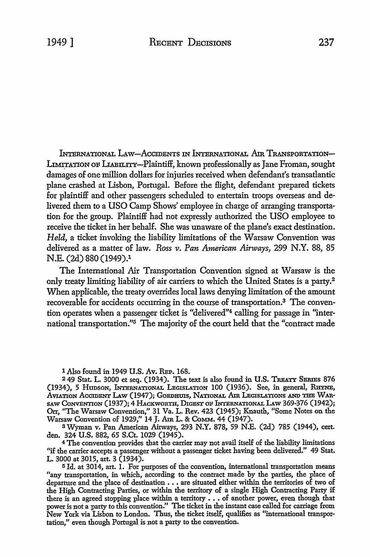INTERNATIONAL LAW-ACCIDENTS IN INTERNATIONAL AIR TRANSPORTATION-LIMITATION OF LIABILITY-Plaintiff, known professionally as Jane Froman, sought damages of one million dollars for injuries received when defendant's transatlantic plane crashed at Lisbon, Portugal. Before the flight, defendant prepared tickets for plaintiff and other passengers scheduled to entertain troops overseas and delivered them to a USO Camp Shows' employee in charge of arranging transportation for the group. Plaintiff had not expressly authorized the USO employee to receive the ticket in her behalf. She was unaware of the plane's exact destination. *Held,* a ticket invoking the liability limitations of the Warsaw Convention was delivered as a matter of law. *Ross v. Pan American Airways,* 299 N.Y. 88, 85 N.E. (2d) 880 (1949).1

The International Air Transportation Convention signed at Warsaw is the only treaty limiting liability of air carriers to which the United States is a party.<sup>2</sup> When applicable, the treaty overrides local laws denying limitation of the amount recoverable for accidents occurring in the course of transportation.3 The convention operates when a passenger ticket is "delivered"4 calling for passage in "international transportation."5 The majority of the court held that the "contract made

1 Also found in 1949 U.S. Av. REP. 168.

<sup>2</sup>49 Stat. L. 3000 et seq. (1934). The text is also found in U.S. TREATY SBRIES 876 (1934), 5 Hunson, INTERNATIONAL LEGISLATION 100 (1936). See, in general, RHYNE, AVIATION ACCIDENT LAW (1947); GOEDHUIS, NATIONAL AIR LEGISLATIONS AND THE WAR-SAW CONVENTION (1937); 4 HACKWORTH, DIGEST OF INTERNATIONAL LAW 369-376 (1942); Orr, ''The Warsaw Convention," 31 Va. L. Rev. 423 (1945); Knauth, "Some Notes on the Warsaw Convention of 1929," 14 J. Am L. & CoMM. 44 (1947).

<sup>3</sup>Wyman v. Pan American Airways, 293 N.Y. 878, 59 N.E. (2d) 785 (1944), cert. den. 324 U.S. 882, 65 S.Ct. 1029 (1945).

<sup>4</sup>The convention provides that the carrier may not avail itself of the liability limitations "if the carrier accepts a passenger without a passenger ticket having been delivered." 49 Stat. L. 3000 at 3015, art. 3 (1934).

5 Id. at 3014, art. 1. For purposes of the convention, international transportation means "any transportation, in which, according to the contract made by the parties, the place of departure and the place of destination  $\ldots$  are situated either within the territories of two of the High Contracting Parties, or within the territory of a single High Contracting Party if there is an agreed stopping place within a territory . . . of another power, even though that power is not a party to this convention." The ticket in the instant case called for carriage from New York via Lisbon to London. Thus, the ticket itself, qualifies as "international transportation," even though Portugal is not a party to the convention.